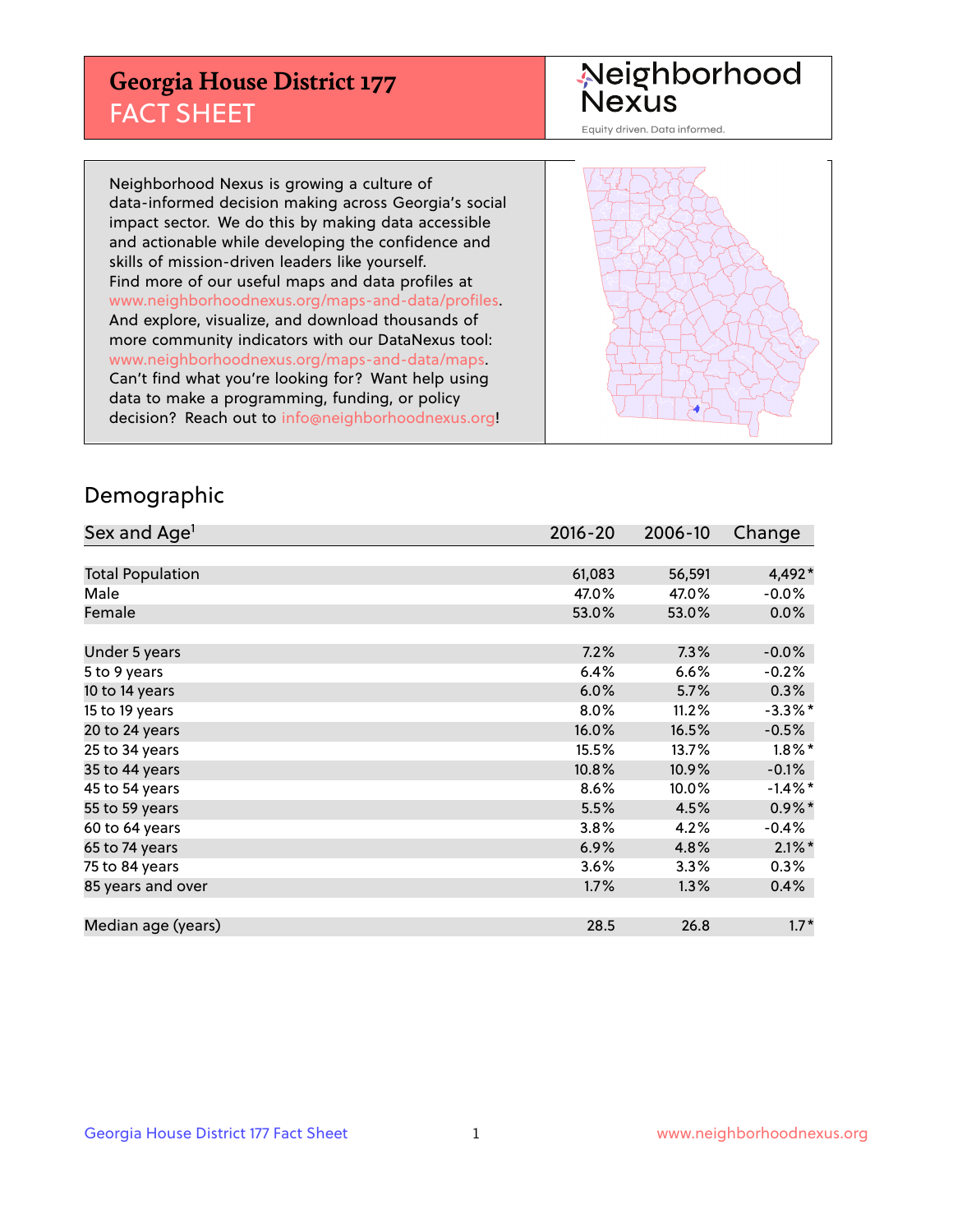## **Georgia House District 177** FACT SHEET

# Neighborhood<br>Nexus

Equity driven. Data informed.

Neighborhood Nexus is growing a culture of data-informed decision making across Georgia's social impact sector. We do this by making data accessible and actionable while developing the confidence and skills of mission-driven leaders like yourself. Find more of our useful maps and data profiles at www.neighborhoodnexus.org/maps-and-data/profiles. And explore, visualize, and download thousands of more community indicators with our DataNexus tool: www.neighborhoodnexus.org/maps-and-data/maps. Can't find what you're looking for? Want help using data to make a programming, funding, or policy decision? Reach out to [info@neighborhoodnexus.org!](mailto:info@neighborhoodnexus.org)



### Demographic

| Sex and Age <sup>1</sup> | $2016 - 20$ | 2006-10 | Change     |
|--------------------------|-------------|---------|------------|
|                          |             |         |            |
| <b>Total Population</b>  | 61,083      | 56,591  | 4,492*     |
| Male                     | 47.0%       | 47.0%   | $-0.0%$    |
| Female                   | 53.0%       | 53.0%   | $0.0\%$    |
|                          |             |         |            |
| Under 5 years            | 7.2%        | 7.3%    | $-0.0%$    |
| 5 to 9 years             | 6.4%        | 6.6%    | $-0.2%$    |
| 10 to 14 years           | 6.0%        | 5.7%    | 0.3%       |
| 15 to 19 years           | 8.0%        | 11.2%   | $-3.3\%$ * |
| 20 to 24 years           | 16.0%       | 16.5%   | $-0.5%$    |
| 25 to 34 years           | 15.5%       | 13.7%   | $1.8\%$ *  |
| 35 to 44 years           | 10.8%       | 10.9%   | $-0.1%$    |
| 45 to 54 years           | 8.6%        | 10.0%   | $-1.4\%$ * |
| 55 to 59 years           | 5.5%        | 4.5%    | $0.9\%$ *  |
| 60 to 64 years           | 3.8%        | 4.2%    | $-0.4%$    |
| 65 to 74 years           | 6.9%        | 4.8%    | $2.1\%$ *  |
| 75 to 84 years           | 3.6%        | 3.3%    | $0.3\%$    |
| 85 years and over        | 1.7%        | 1.3%    | 0.4%       |
|                          |             |         |            |
| Median age (years)       | 28.5        | 26.8    | $1.7*$     |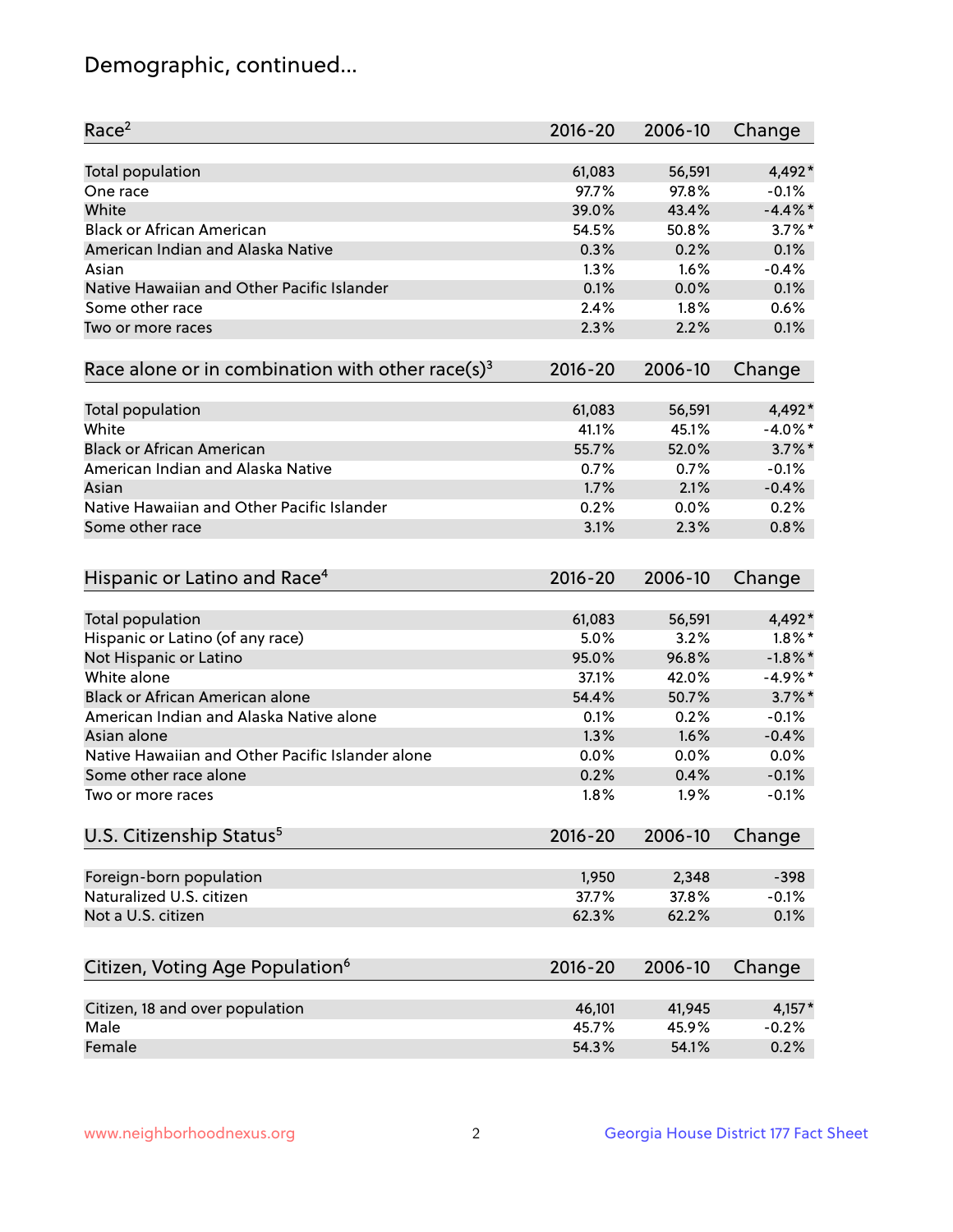## Demographic, continued...

| 4,492*<br>Total population<br>61,083<br>56,591<br>97.7%<br>97.8%<br>$-0.1%$<br>One race<br>White<br>39.0%<br>$-4.4\%$ *<br>43.4%<br>$3.7\%$ *<br><b>Black or African American</b><br>54.5%<br>50.8%<br>American Indian and Alaska Native<br>0.3%<br>0.2%<br>0.1%<br>1.3%<br>1.6%<br>$-0.4%$<br>Asian<br>0.1%<br>Native Hawaiian and Other Pacific Islander<br>0.1%<br>0.0%<br>0.6%<br>Some other race<br>2.4%<br>1.8%<br>2.2%<br>0.1%<br>2.3%<br>Two or more races<br>Race alone or in combination with other race(s) <sup>3</sup><br>$2016 - 20$<br>2006-10<br>Change<br>4,492*<br>Total population<br>61,083<br>56,591<br>White<br>$-4.0\%$ *<br>41.1%<br>45.1%<br>$3.7\%$ *<br><b>Black or African American</b><br>55.7%<br>52.0%<br>American Indian and Alaska Native<br>0.7%<br>0.7%<br>$-0.1%$<br>1.7%<br>2.1%<br>$-0.4%$<br>Asian<br>Native Hawaiian and Other Pacific Islander<br>0.2%<br>0.2%<br>0.0%<br>3.1%<br>2.3%<br>0.8%<br>Some other race<br>Hispanic or Latino and Race <sup>4</sup><br>$2016 - 20$<br>2006-10<br>Change<br>Total population<br>4,492*<br>61,083<br>56,591<br>Hispanic or Latino (of any race)<br>5.0%<br>$1.8\%$ *<br>3.2%<br>Not Hispanic or Latino<br>95.0%<br>96.8%<br>$-1.8\%$ *<br>White alone<br>$-4.9%$ *<br>37.1%<br>42.0%<br>Black or African American alone<br>$3.7\%$ *<br>54.4%<br>50.7%<br>American Indian and Alaska Native alone<br>0.1%<br>0.2%<br>$-0.1%$<br>1.3%<br>1.6%<br>$-0.4%$<br>Asian alone<br>Native Hawaiian and Other Pacific Islander alone<br>0.0%<br>0.0%<br>0.0%<br>Some other race alone<br>0.2%<br>0.4%<br>$-0.1%$<br>1.8%<br>1.9%<br>$-0.1%$<br>Two or more races | Race <sup>2</sup> | $2016 - 20$ | 2006-10 | Change |
|----------------------------------------------------------------------------------------------------------------------------------------------------------------------------------------------------------------------------------------------------------------------------------------------------------------------------------------------------------------------------------------------------------------------------------------------------------------------------------------------------------------------------------------------------------------------------------------------------------------------------------------------------------------------------------------------------------------------------------------------------------------------------------------------------------------------------------------------------------------------------------------------------------------------------------------------------------------------------------------------------------------------------------------------------------------------------------------------------------------------------------------------------------------------------------------------------------------------------------------------------------------------------------------------------------------------------------------------------------------------------------------------------------------------------------------------------------------------------------------------------------------------------------------------------------------------------------------------------------------------------------------|-------------------|-------------|---------|--------|
|                                                                                                                                                                                                                                                                                                                                                                                                                                                                                                                                                                                                                                                                                                                                                                                                                                                                                                                                                                                                                                                                                                                                                                                                                                                                                                                                                                                                                                                                                                                                                                                                                                        |                   |             |         |        |
|                                                                                                                                                                                                                                                                                                                                                                                                                                                                                                                                                                                                                                                                                                                                                                                                                                                                                                                                                                                                                                                                                                                                                                                                                                                                                                                                                                                                                                                                                                                                                                                                                                        |                   |             |         |        |
|                                                                                                                                                                                                                                                                                                                                                                                                                                                                                                                                                                                                                                                                                                                                                                                                                                                                                                                                                                                                                                                                                                                                                                                                                                                                                                                                                                                                                                                                                                                                                                                                                                        |                   |             |         |        |
|                                                                                                                                                                                                                                                                                                                                                                                                                                                                                                                                                                                                                                                                                                                                                                                                                                                                                                                                                                                                                                                                                                                                                                                                                                                                                                                                                                                                                                                                                                                                                                                                                                        |                   |             |         |        |
|                                                                                                                                                                                                                                                                                                                                                                                                                                                                                                                                                                                                                                                                                                                                                                                                                                                                                                                                                                                                                                                                                                                                                                                                                                                                                                                                                                                                                                                                                                                                                                                                                                        |                   |             |         |        |
|                                                                                                                                                                                                                                                                                                                                                                                                                                                                                                                                                                                                                                                                                                                                                                                                                                                                                                                                                                                                                                                                                                                                                                                                                                                                                                                                                                                                                                                                                                                                                                                                                                        |                   |             |         |        |
|                                                                                                                                                                                                                                                                                                                                                                                                                                                                                                                                                                                                                                                                                                                                                                                                                                                                                                                                                                                                                                                                                                                                                                                                                                                                                                                                                                                                                                                                                                                                                                                                                                        |                   |             |         |        |
|                                                                                                                                                                                                                                                                                                                                                                                                                                                                                                                                                                                                                                                                                                                                                                                                                                                                                                                                                                                                                                                                                                                                                                                                                                                                                                                                                                                                                                                                                                                                                                                                                                        |                   |             |         |        |
|                                                                                                                                                                                                                                                                                                                                                                                                                                                                                                                                                                                                                                                                                                                                                                                                                                                                                                                                                                                                                                                                                                                                                                                                                                                                                                                                                                                                                                                                                                                                                                                                                                        |                   |             |         |        |
|                                                                                                                                                                                                                                                                                                                                                                                                                                                                                                                                                                                                                                                                                                                                                                                                                                                                                                                                                                                                                                                                                                                                                                                                                                                                                                                                                                                                                                                                                                                                                                                                                                        |                   |             |         |        |
|                                                                                                                                                                                                                                                                                                                                                                                                                                                                                                                                                                                                                                                                                                                                                                                                                                                                                                                                                                                                                                                                                                                                                                                                                                                                                                                                                                                                                                                                                                                                                                                                                                        |                   |             |         |        |
|                                                                                                                                                                                                                                                                                                                                                                                                                                                                                                                                                                                                                                                                                                                                                                                                                                                                                                                                                                                                                                                                                                                                                                                                                                                                                                                                                                                                                                                                                                                                                                                                                                        |                   |             |         |        |
|                                                                                                                                                                                                                                                                                                                                                                                                                                                                                                                                                                                                                                                                                                                                                                                                                                                                                                                                                                                                                                                                                                                                                                                                                                                                                                                                                                                                                                                                                                                                                                                                                                        |                   |             |         |        |
|                                                                                                                                                                                                                                                                                                                                                                                                                                                                                                                                                                                                                                                                                                                                                                                                                                                                                                                                                                                                                                                                                                                                                                                                                                                                                                                                                                                                                                                                                                                                                                                                                                        |                   |             |         |        |
|                                                                                                                                                                                                                                                                                                                                                                                                                                                                                                                                                                                                                                                                                                                                                                                                                                                                                                                                                                                                                                                                                                                                                                                                                                                                                                                                                                                                                                                                                                                                                                                                                                        |                   |             |         |        |
|                                                                                                                                                                                                                                                                                                                                                                                                                                                                                                                                                                                                                                                                                                                                                                                                                                                                                                                                                                                                                                                                                                                                                                                                                                                                                                                                                                                                                                                                                                                                                                                                                                        |                   |             |         |        |
|                                                                                                                                                                                                                                                                                                                                                                                                                                                                                                                                                                                                                                                                                                                                                                                                                                                                                                                                                                                                                                                                                                                                                                                                                                                                                                                                                                                                                                                                                                                                                                                                                                        |                   |             |         |        |
|                                                                                                                                                                                                                                                                                                                                                                                                                                                                                                                                                                                                                                                                                                                                                                                                                                                                                                                                                                                                                                                                                                                                                                                                                                                                                                                                                                                                                                                                                                                                                                                                                                        |                   |             |         |        |
|                                                                                                                                                                                                                                                                                                                                                                                                                                                                                                                                                                                                                                                                                                                                                                                                                                                                                                                                                                                                                                                                                                                                                                                                                                                                                                                                                                                                                                                                                                                                                                                                                                        |                   |             |         |        |
|                                                                                                                                                                                                                                                                                                                                                                                                                                                                                                                                                                                                                                                                                                                                                                                                                                                                                                                                                                                                                                                                                                                                                                                                                                                                                                                                                                                                                                                                                                                                                                                                                                        |                   |             |         |        |
|                                                                                                                                                                                                                                                                                                                                                                                                                                                                                                                                                                                                                                                                                                                                                                                                                                                                                                                                                                                                                                                                                                                                                                                                                                                                                                                                                                                                                                                                                                                                                                                                                                        |                   |             |         |        |
|                                                                                                                                                                                                                                                                                                                                                                                                                                                                                                                                                                                                                                                                                                                                                                                                                                                                                                                                                                                                                                                                                                                                                                                                                                                                                                                                                                                                                                                                                                                                                                                                                                        |                   |             |         |        |
|                                                                                                                                                                                                                                                                                                                                                                                                                                                                                                                                                                                                                                                                                                                                                                                                                                                                                                                                                                                                                                                                                                                                                                                                                                                                                                                                                                                                                                                                                                                                                                                                                                        |                   |             |         |        |
|                                                                                                                                                                                                                                                                                                                                                                                                                                                                                                                                                                                                                                                                                                                                                                                                                                                                                                                                                                                                                                                                                                                                                                                                                                                                                                                                                                                                                                                                                                                                                                                                                                        |                   |             |         |        |
|                                                                                                                                                                                                                                                                                                                                                                                                                                                                                                                                                                                                                                                                                                                                                                                                                                                                                                                                                                                                                                                                                                                                                                                                                                                                                                                                                                                                                                                                                                                                                                                                                                        |                   |             |         |        |
|                                                                                                                                                                                                                                                                                                                                                                                                                                                                                                                                                                                                                                                                                                                                                                                                                                                                                                                                                                                                                                                                                                                                                                                                                                                                                                                                                                                                                                                                                                                                                                                                                                        |                   |             |         |        |
|                                                                                                                                                                                                                                                                                                                                                                                                                                                                                                                                                                                                                                                                                                                                                                                                                                                                                                                                                                                                                                                                                                                                                                                                                                                                                                                                                                                                                                                                                                                                                                                                                                        |                   |             |         |        |
|                                                                                                                                                                                                                                                                                                                                                                                                                                                                                                                                                                                                                                                                                                                                                                                                                                                                                                                                                                                                                                                                                                                                                                                                                                                                                                                                                                                                                                                                                                                                                                                                                                        |                   |             |         |        |
|                                                                                                                                                                                                                                                                                                                                                                                                                                                                                                                                                                                                                                                                                                                                                                                                                                                                                                                                                                                                                                                                                                                                                                                                                                                                                                                                                                                                                                                                                                                                                                                                                                        |                   |             |         |        |
|                                                                                                                                                                                                                                                                                                                                                                                                                                                                                                                                                                                                                                                                                                                                                                                                                                                                                                                                                                                                                                                                                                                                                                                                                                                                                                                                                                                                                                                                                                                                                                                                                                        |                   |             |         |        |
|                                                                                                                                                                                                                                                                                                                                                                                                                                                                                                                                                                                                                                                                                                                                                                                                                                                                                                                                                                                                                                                                                                                                                                                                                                                                                                                                                                                                                                                                                                                                                                                                                                        |                   |             |         |        |
| U.S. Citizenship Status <sup>5</sup><br>$2016 - 20$<br>2006-10<br>Change                                                                                                                                                                                                                                                                                                                                                                                                                                                                                                                                                                                                                                                                                                                                                                                                                                                                                                                                                                                                                                                                                                                                                                                                                                                                                                                                                                                                                                                                                                                                                               |                   |             |         |        |
| Foreign-born population<br>1,950<br>2,348<br>$-398$                                                                                                                                                                                                                                                                                                                                                                                                                                                                                                                                                                                                                                                                                                                                                                                                                                                                                                                                                                                                                                                                                                                                                                                                                                                                                                                                                                                                                                                                                                                                                                                    |                   |             |         |        |
| Naturalized U.S. citizen<br>37.7%<br>37.8%<br>$-0.1%$                                                                                                                                                                                                                                                                                                                                                                                                                                                                                                                                                                                                                                                                                                                                                                                                                                                                                                                                                                                                                                                                                                                                                                                                                                                                                                                                                                                                                                                                                                                                                                                  |                   |             |         |        |
| Not a U.S. citizen<br>62.3%<br>62.2%<br>0.1%                                                                                                                                                                                                                                                                                                                                                                                                                                                                                                                                                                                                                                                                                                                                                                                                                                                                                                                                                                                                                                                                                                                                                                                                                                                                                                                                                                                                                                                                                                                                                                                           |                   |             |         |        |
|                                                                                                                                                                                                                                                                                                                                                                                                                                                                                                                                                                                                                                                                                                                                                                                                                                                                                                                                                                                                                                                                                                                                                                                                                                                                                                                                                                                                                                                                                                                                                                                                                                        |                   |             |         |        |
| Citizen, Voting Age Population <sup>6</sup><br>$2016 - 20$<br>2006-10<br>Change                                                                                                                                                                                                                                                                                                                                                                                                                                                                                                                                                                                                                                                                                                                                                                                                                                                                                                                                                                                                                                                                                                                                                                                                                                                                                                                                                                                                                                                                                                                                                        |                   |             |         |        |
| Citizen, 18 and over population<br>46,101<br>41,945<br>$4,157*$                                                                                                                                                                                                                                                                                                                                                                                                                                                                                                                                                                                                                                                                                                                                                                                                                                                                                                                                                                                                                                                                                                                                                                                                                                                                                                                                                                                                                                                                                                                                                                        |                   |             |         |        |
| Male<br>45.9%<br>45.7%<br>$-0.2%$                                                                                                                                                                                                                                                                                                                                                                                                                                                                                                                                                                                                                                                                                                                                                                                                                                                                                                                                                                                                                                                                                                                                                                                                                                                                                                                                                                                                                                                                                                                                                                                                      |                   |             |         |        |
| Female<br>0.2%<br>54.3%<br>54.1%                                                                                                                                                                                                                                                                                                                                                                                                                                                                                                                                                                                                                                                                                                                                                                                                                                                                                                                                                                                                                                                                                                                                                                                                                                                                                                                                                                                                                                                                                                                                                                                                       |                   |             |         |        |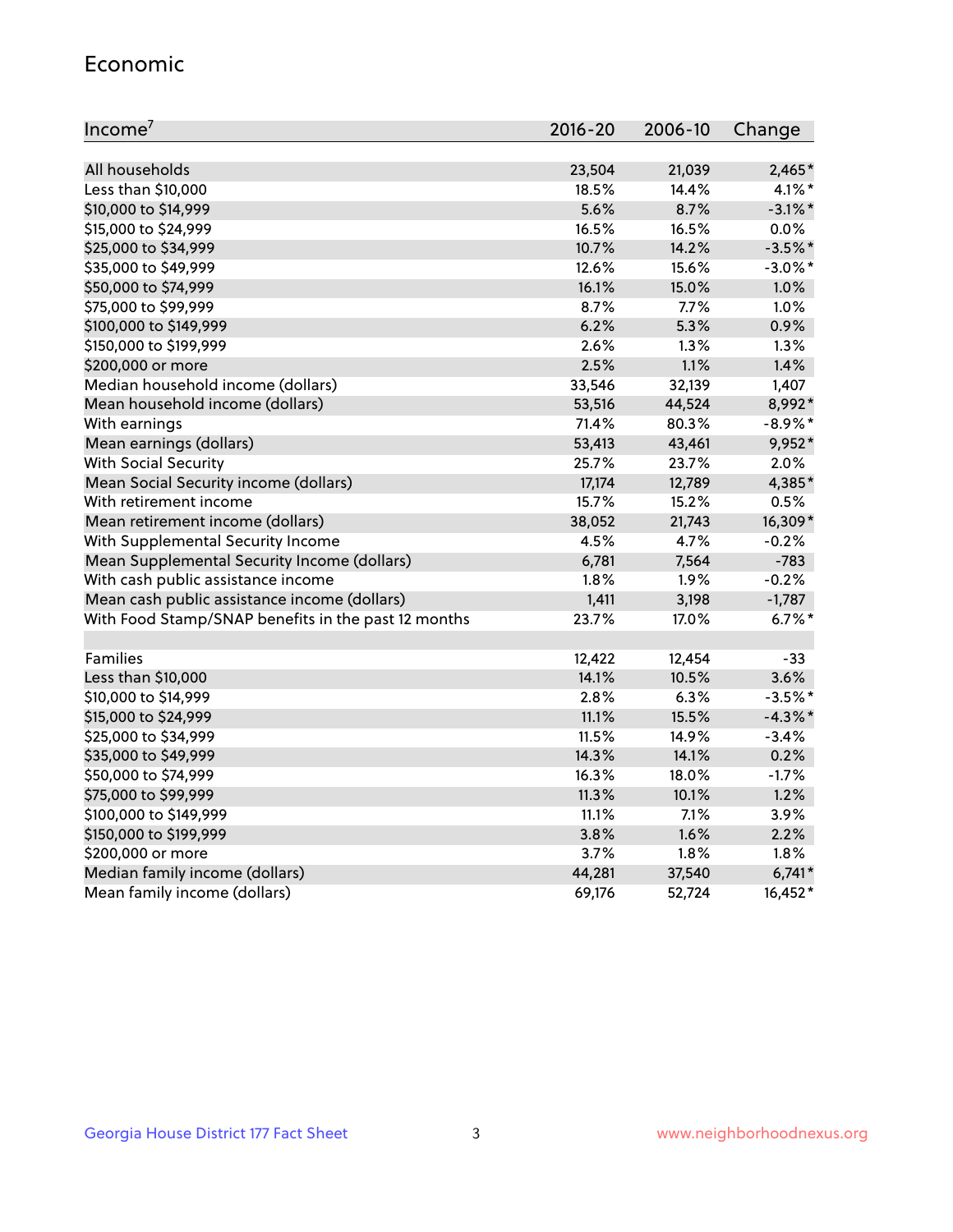#### Economic

| Income <sup>7</sup>                                 | $2016 - 20$ | 2006-10 | Change     |
|-----------------------------------------------------|-------------|---------|------------|
|                                                     |             |         |            |
| All households                                      | 23,504      | 21,039  | 2,465*     |
| Less than \$10,000                                  | 18.5%       | 14.4%   | $4.1\%$ *  |
| \$10,000 to \$14,999                                | 5.6%        | 8.7%    | $-3.1\%$ * |
| \$15,000 to \$24,999                                | 16.5%       | 16.5%   | 0.0%       |
| \$25,000 to \$34,999                                | 10.7%       | 14.2%   | $-3.5%$ *  |
| \$35,000 to \$49,999                                | 12.6%       | 15.6%   | $-3.0\%$ * |
| \$50,000 to \$74,999                                | 16.1%       | 15.0%   | 1.0%       |
| \$75,000 to \$99,999                                | 8.7%        | 7.7%    | 1.0%       |
| \$100,000 to \$149,999                              | 6.2%        | 5.3%    | 0.9%       |
| \$150,000 to \$199,999                              | 2.6%        | 1.3%    | 1.3%       |
| \$200,000 or more                                   | 2.5%        | 1.1%    | 1.4%       |
| Median household income (dollars)                   | 33,546      | 32,139  | 1,407      |
| Mean household income (dollars)                     | 53,516      | 44,524  | 8,992*     |
| With earnings                                       | 71.4%       | 80.3%   | $-8.9\%$ * |
| Mean earnings (dollars)                             | 53,413      | 43,461  | 9,952*     |
| <b>With Social Security</b>                         | 25.7%       | 23.7%   | 2.0%       |
| Mean Social Security income (dollars)               | 17,174      | 12,789  | 4,385*     |
| With retirement income                              | 15.7%       | 15.2%   | 0.5%       |
| Mean retirement income (dollars)                    | 38,052      | 21,743  | 16,309*    |
| With Supplemental Security Income                   | 4.5%        | 4.7%    | $-0.2%$    |
| Mean Supplemental Security Income (dollars)         | 6,781       | 7,564   | $-783$     |
| With cash public assistance income                  | 1.8%        | 1.9%    | $-0.2%$    |
| Mean cash public assistance income (dollars)        | 1,411       | 3,198   | $-1,787$   |
| With Food Stamp/SNAP benefits in the past 12 months | 23.7%       | 17.0%   | $6.7\%$ *  |
|                                                     |             |         |            |
| Families                                            | 12,422      | 12,454  | $-33$      |
| Less than \$10,000                                  | 14.1%       | 10.5%   | 3.6%       |
| \$10,000 to \$14,999                                | 2.8%        | 6.3%    | $-3.5%$ *  |
| \$15,000 to \$24,999                                | 11.1%       | 15.5%   | $-4.3\%$ * |
| \$25,000 to \$34,999                                | 11.5%       | 14.9%   | $-3.4%$    |
| \$35,000 to \$49,999                                | 14.3%       | 14.1%   | 0.2%       |
| \$50,000 to \$74,999                                | 16.3%       | 18.0%   | $-1.7%$    |
| \$75,000 to \$99,999                                | 11.3%       | 10.1%   | 1.2%       |
| \$100,000 to \$149,999                              | 11.1%       | $7.1\%$ | 3.9%       |
| \$150,000 to \$199,999                              | 3.8%        | 1.6%    | 2.2%       |
| \$200,000 or more                                   | 3.7%        | 1.8%    | 1.8%       |
| Median family income (dollars)                      | 44,281      | 37,540  | $6,741*$   |
| Mean family income (dollars)                        | 69,176      | 52,724  | 16,452*    |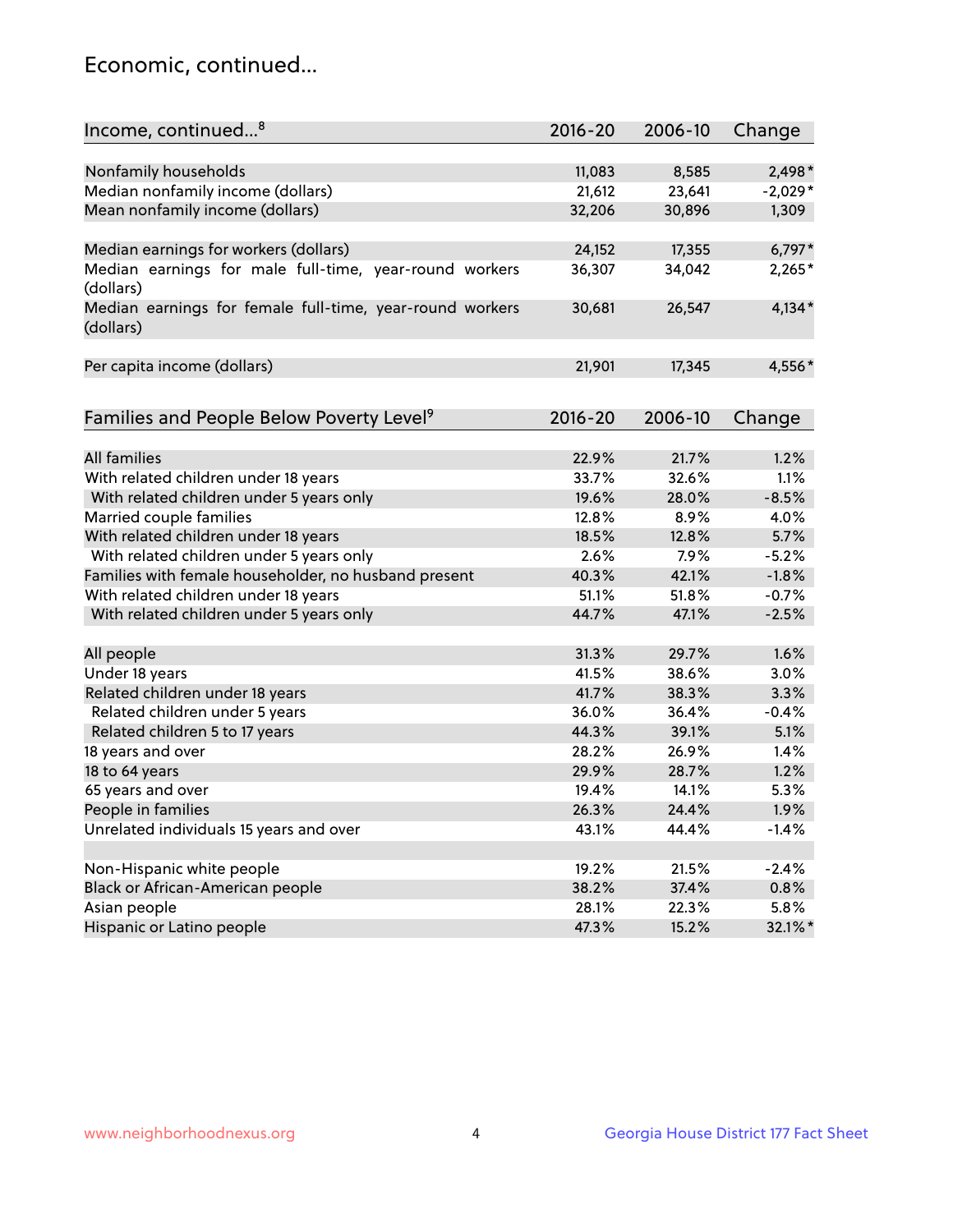## Economic, continued...

| Income, continued <sup>8</sup>                                        | $2016 - 20$ | 2006-10 | Change    |
|-----------------------------------------------------------------------|-------------|---------|-----------|
|                                                                       |             |         |           |
| Nonfamily households                                                  | 11,083      | 8,585   | 2,498*    |
| Median nonfamily income (dollars)                                     | 21,612      | 23,641  | $-2,029*$ |
| Mean nonfamily income (dollars)                                       | 32,206      | 30,896  | 1,309     |
| Median earnings for workers (dollars)                                 | 24,152      | 17,355  | $6,797*$  |
| Median earnings for male full-time, year-round workers                | 36,307      | 34,042  | $2,265*$  |
| (dollars)                                                             |             |         |           |
| Median earnings for female full-time, year-round workers<br>(dollars) | 30,681      | 26,547  | $4,134*$  |
| Per capita income (dollars)                                           | 21,901      | 17,345  | 4,556*    |
|                                                                       |             |         |           |
| Families and People Below Poverty Level <sup>9</sup>                  | 2016-20     | 2006-10 | Change    |
|                                                                       |             |         |           |
| <b>All families</b>                                                   | 22.9%       | 21.7%   | 1.2%      |
| With related children under 18 years                                  | 33.7%       | 32.6%   | 1.1%      |
| With related children under 5 years only                              | 19.6%       | 28.0%   | $-8.5%$   |
| Married couple families                                               | 12.8%       | 8.9%    | 4.0%      |
| With related children under 18 years                                  | 18.5%       | 12.8%   | 5.7%      |
| With related children under 5 years only                              | 2.6%        | 7.9%    | $-5.2%$   |
| Families with female householder, no husband present                  | 40.3%       | 42.1%   | $-1.8%$   |
| With related children under 18 years                                  | 51.1%       | 51.8%   | $-0.7%$   |
| With related children under 5 years only                              | 44.7%       | 47.1%   | $-2.5%$   |
| All people                                                            | 31.3%       | 29.7%   | 1.6%      |
| Under 18 years                                                        | 41.5%       | 38.6%   | 3.0%      |
| Related children under 18 years                                       | 41.7%       | 38.3%   | 3.3%      |
| Related children under 5 years                                        | 36.0%       | 36.4%   | $-0.4%$   |
| Related children 5 to 17 years                                        | 44.3%       | 39.1%   | 5.1%      |
| 18 years and over                                                     | 28.2%       | 26.9%   | 1.4%      |
|                                                                       |             |         |           |
| 18 to 64 years                                                        | 29.9%       | 28.7%   | 1.2%      |
| 65 years and over                                                     | 19.4%       | 14.1%   | 5.3%      |
| People in families                                                    | 26.3%       | 24.4%   | 1.9%      |
| Unrelated individuals 15 years and over                               | 43.1%       | 44.4%   | $-1.4%$   |
|                                                                       |             |         |           |
| Non-Hispanic white people                                             | 19.2%       | 21.5%   | $-2.4%$   |
| Black or African-American people                                      | 38.2%       | 37.4%   | 0.8%      |
| Asian people                                                          | 28.1%       | 22.3%   | 5.8%      |
| Hispanic or Latino people                                             | 47.3%       | 15.2%   | 32.1%*    |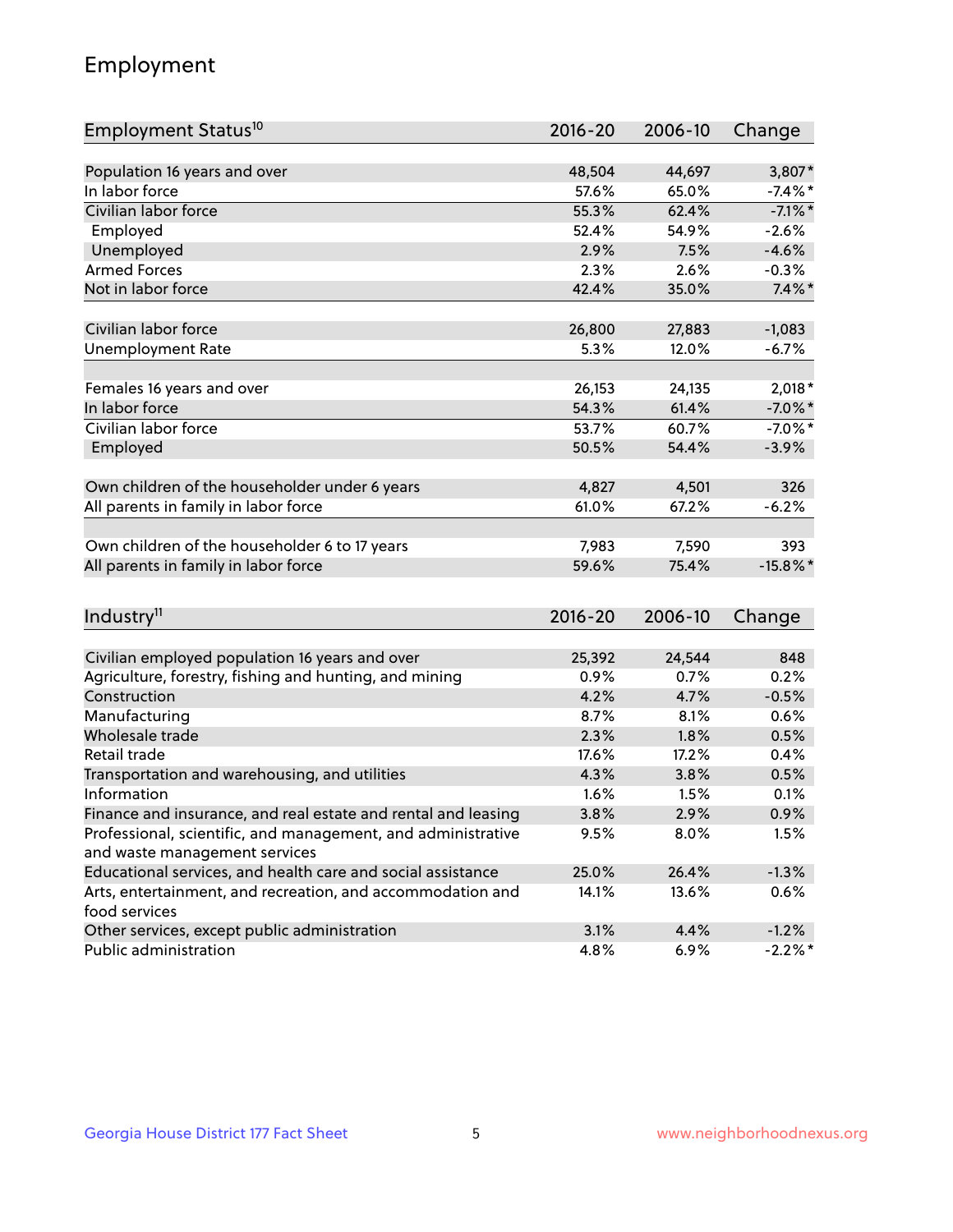## Employment

| Employment Status <sup>10</sup>                                             | $2016 - 20$    | 2006-10 | Change      |
|-----------------------------------------------------------------------------|----------------|---------|-------------|
|                                                                             |                |         |             |
| Population 16 years and over                                                | 48,504         | 44,697  | 3,807*      |
| In labor force                                                              | 57.6%          | 65.0%   | $-7.4\%$ *  |
| Civilian labor force                                                        | 55.3%          | 62.4%   | $-7.1\%$ *  |
| Employed                                                                    | 52.4%          | 54.9%   | $-2.6%$     |
| Unemployed                                                                  | 2.9%           | 7.5%    | $-4.6%$     |
| <b>Armed Forces</b>                                                         | 2.3%           | 2.6%    | $-0.3%$     |
| Not in labor force                                                          | 42.4%          | 35.0%   | $7.4\%$ *   |
| Civilian labor force                                                        |                |         | $-1,083$    |
|                                                                             | 26,800<br>5.3% | 27,883  |             |
| <b>Unemployment Rate</b>                                                    |                | 12.0%   | $-6.7%$     |
| Females 16 years and over                                                   | 26,153         | 24,135  | $2,018*$    |
| In labor force                                                              | 54.3%          | 61.4%   | $-7.0\%$ *  |
| Civilian labor force                                                        | 53.7%          | 60.7%   | $-7.0\%$ *  |
| Employed                                                                    | 50.5%          | 54.4%   | $-3.9%$     |
|                                                                             |                |         |             |
| Own children of the householder under 6 years                               | 4,827          | 4,501   | 326         |
| All parents in family in labor force                                        | 61.0%          | 67.2%   | $-6.2%$     |
| Own children of the householder 6 to 17 years                               | 7,983          | 7,590   | 393         |
| All parents in family in labor force                                        | 59.6%          | 75.4%   | $-15.8\%$ * |
|                                                                             |                |         |             |
| Industry <sup>11</sup>                                                      | $2016 - 20$    | 2006-10 | Change      |
|                                                                             |                |         |             |
| Civilian employed population 16 years and over                              | 25,392         | 24,544  | 848         |
| Agriculture, forestry, fishing and hunting, and mining                      | 0.9%           | 0.7%    | 0.2%        |
| Construction                                                                | 4.2%           | 4.7%    | $-0.5%$     |
| Manufacturing                                                               | 8.7%           | 8.1%    | 0.6%        |
| Wholesale trade                                                             | 2.3%           | 1.8%    | 0.5%        |
| Retail trade                                                                | 17.6%          | 17.2%   | 0.4%        |
| Transportation and warehousing, and utilities                               | 4.3%           | 3.8%    | 0.5%        |
| Information                                                                 | 1.6%           | 1.5%    | 0.1%        |
| Finance and insurance, and real estate and rental and leasing               | 3.8%           | 2.9%    | 0.9%        |
| Professional, scientific, and management, and administrative                | 9.5%           | 8.0%    | 1.5%        |
| and waste management services                                               |                |         |             |
| Educational services, and health care and social assistance                 | 25.0%          | 26.4%   | $-1.3%$     |
| Arts, entertainment, and recreation, and accommodation and<br>food services | 14.1%          | 13.6%   | 0.6%        |
| Other services, except public administration                                | 3.1%           | 4.4%    | $-1.2%$     |
| Public administration                                                       | 4.8%           | 6.9%    | $-2.2\%$ *  |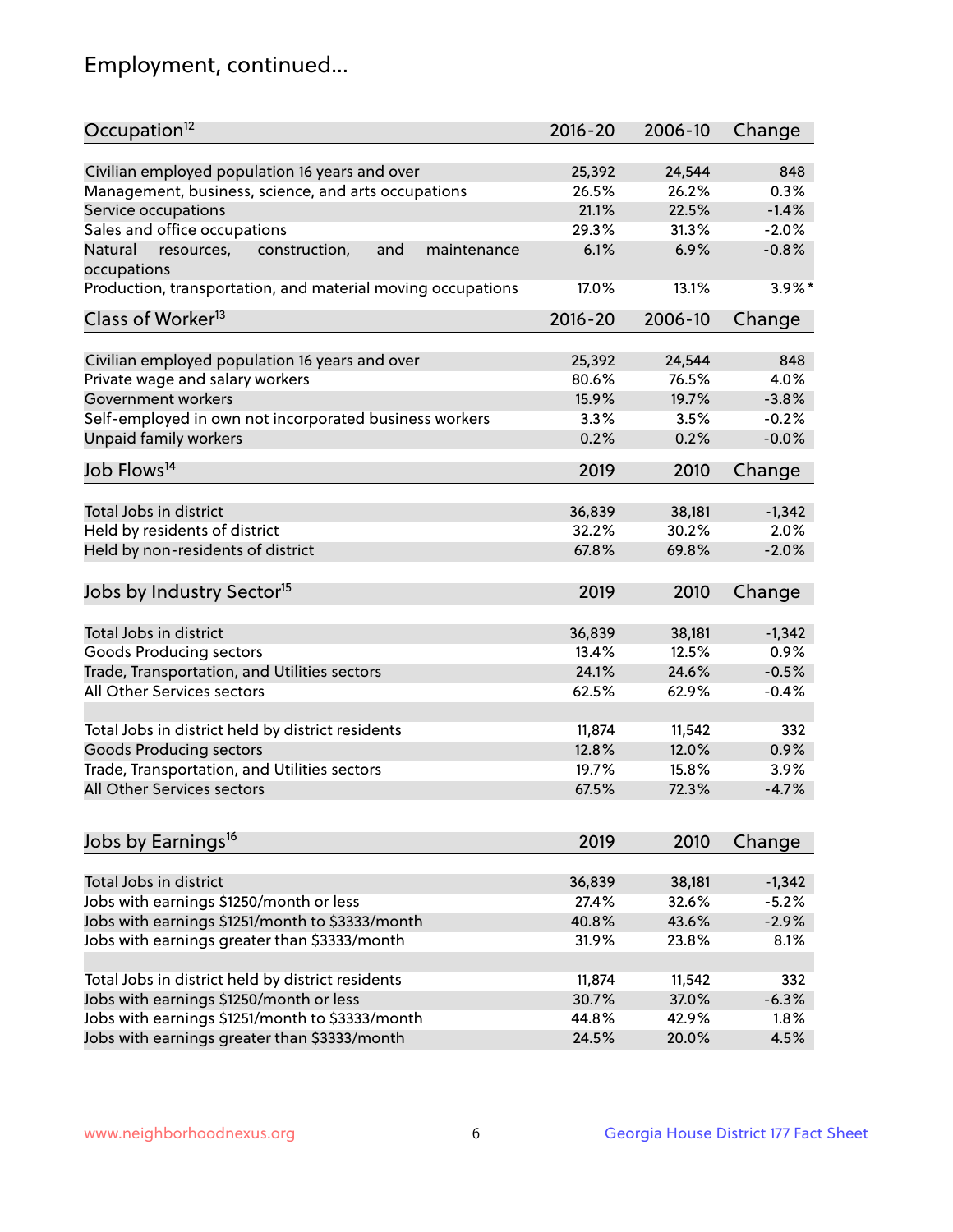## Employment, continued...

| Occupation <sup>12</sup>                                                    | $2016 - 20$ | 2006-10 | Change    |
|-----------------------------------------------------------------------------|-------------|---------|-----------|
|                                                                             |             |         |           |
| Civilian employed population 16 years and over                              | 25,392      | 24,544  | 848       |
| Management, business, science, and arts occupations                         | 26.5%       | 26.2%   | 0.3%      |
| Service occupations                                                         | 21.1%       | 22.5%   | $-1.4%$   |
| Sales and office occupations                                                | 29.3%       | 31.3%   | $-2.0%$   |
| Natural<br>and<br>resources,<br>construction,<br>maintenance<br>occupations | 6.1%        | 6.9%    | $-0.8%$   |
| Production, transportation, and material moving occupations                 | 17.0%       | 13.1%   | $3.9\%$ * |
| Class of Worker <sup>13</sup>                                               | $2016 - 20$ | 2006-10 | Change    |
|                                                                             |             |         |           |
| Civilian employed population 16 years and over                              | 25,392      | 24,544  | 848       |
| Private wage and salary workers                                             | 80.6%       | 76.5%   | 4.0%      |
| Government workers                                                          | 15.9%       | 19.7%   | $-3.8%$   |
| Self-employed in own not incorporated business workers                      | 3.3%        | 3.5%    | $-0.2%$   |
| Unpaid family workers                                                       | 0.2%        | 0.2%    | $-0.0%$   |
| Job Flows <sup>14</sup>                                                     | 2019        | 2010    | Change    |
|                                                                             |             |         |           |
| Total Jobs in district                                                      | 36,839      | 38,181  | $-1,342$  |
| Held by residents of district                                               | 32.2%       | 30.2%   | 2.0%      |
| Held by non-residents of district                                           | 67.8%       | 69.8%   | $-2.0%$   |
|                                                                             |             |         |           |
| Jobs by Industry Sector <sup>15</sup>                                       | 2019        | 2010    | Change    |
| Total Jobs in district                                                      | 36,839      | 38,181  | $-1,342$  |
| Goods Producing sectors                                                     | 13.4%       | 12.5%   | 0.9%      |
| Trade, Transportation, and Utilities sectors                                | 24.1%       | 24.6%   | $-0.5%$   |
| All Other Services sectors                                                  | 62.5%       | 62.9%   | $-0.4%$   |
|                                                                             |             |         |           |
| Total Jobs in district held by district residents                           | 11,874      | 11,542  | 332       |
| <b>Goods Producing sectors</b>                                              | 12.8%       | 12.0%   | 0.9%      |
| Trade, Transportation, and Utilities sectors                                | 19.7%       | 15.8%   | 3.9%      |
| All Other Services sectors                                                  | 67.5%       | 72.3%   | $-4.7%$   |
|                                                                             |             |         |           |
| Jobs by Earnings <sup>16</sup>                                              | 2019        | 2010    | Change    |
|                                                                             |             |         |           |
| Total Jobs in district                                                      | 36,839      | 38,181  | $-1,342$  |
| Jobs with earnings \$1250/month or less                                     | 27.4%       | 32.6%   | $-5.2%$   |
| Jobs with earnings \$1251/month to \$3333/month                             | 40.8%       | 43.6%   | $-2.9%$   |
| Jobs with earnings greater than \$3333/month                                | 31.9%       | 23.8%   | 8.1%      |
|                                                                             |             |         |           |
| Total Jobs in district held by district residents                           | 11,874      | 11,542  | 332       |
| Jobs with earnings \$1250/month or less                                     | 30.7%       | 37.0%   | $-6.3%$   |
| Jobs with earnings \$1251/month to \$3333/month                             | 44.8%       | 42.9%   | 1.8%      |
| Jobs with earnings greater than \$3333/month                                | 24.5%       | 20.0%   | 4.5%      |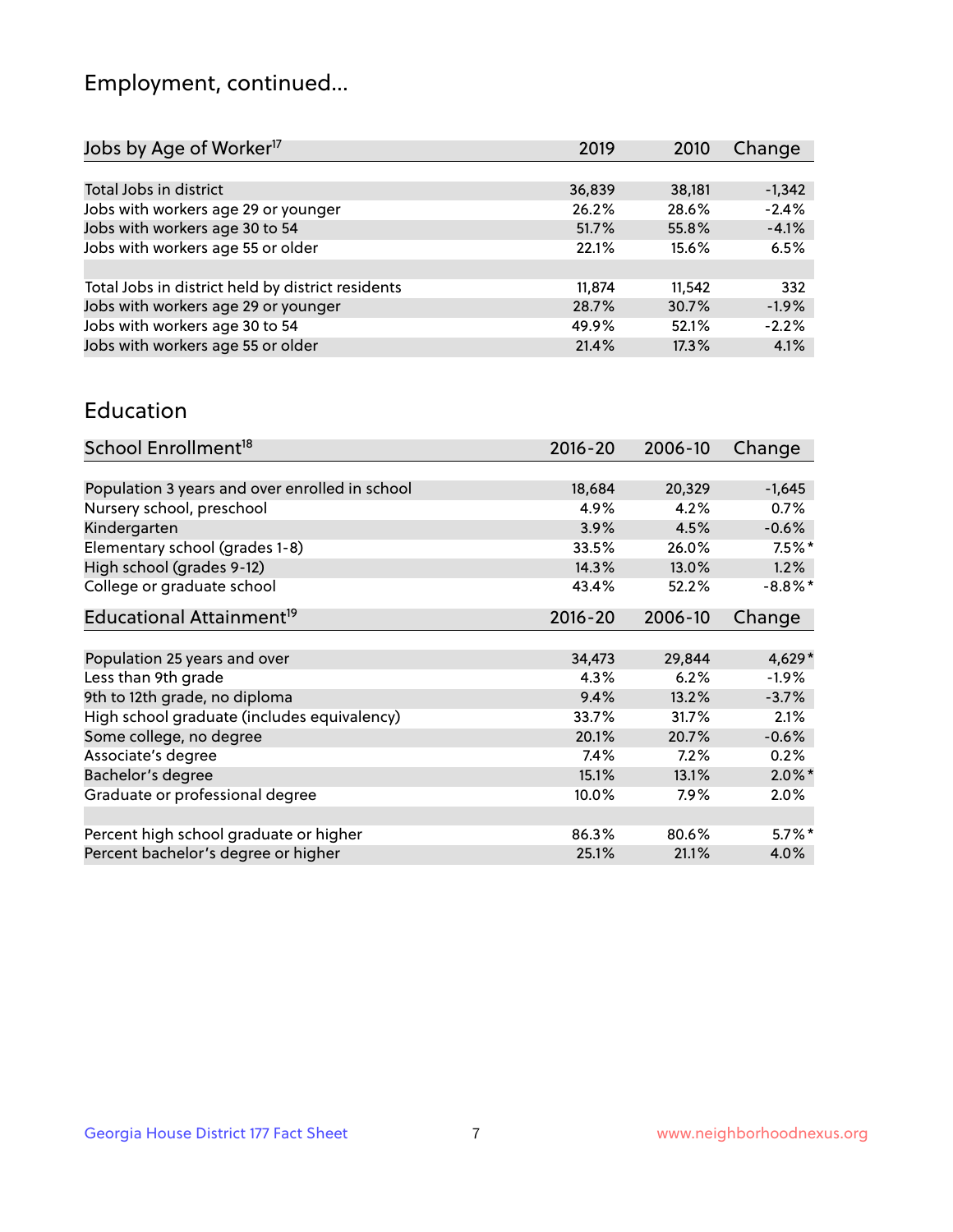## Employment, continued...

| 2019   | 2010   | Change   |
|--------|--------|----------|
|        |        |          |
| 36,839 | 38,181 | $-1,342$ |
| 26.2%  | 28.6%  | $-2.4%$  |
| 51.7%  | 55.8%  | $-4.1%$  |
| 22.1%  | 15.6%  | 6.5%     |
|        |        |          |
| 11,874 | 11,542 | 332      |
| 28.7%  | 30.7%  | $-1.9%$  |
| 49.9%  | 52.1%  | $-2.2%$  |
| 21.4%  | 17.3%  | 4.1%     |
|        |        |          |

#### Education

| School Enrollment <sup>18</sup>                | $2016 - 20$ | 2006-10 | Change     |
|------------------------------------------------|-------------|---------|------------|
|                                                |             |         |            |
| Population 3 years and over enrolled in school | 18,684      | 20,329  | $-1,645$   |
| Nursery school, preschool                      | 4.9%        | 4.2%    | 0.7%       |
| Kindergarten                                   | 3.9%        | 4.5%    | $-0.6%$    |
| Elementary school (grades 1-8)                 | 33.5%       | 26.0%   | $7.5\%$ *  |
| High school (grades 9-12)                      | 14.3%       | 13.0%   | 1.2%       |
| College or graduate school                     | 43.4%       | 52.2%   | $-8.8\%$ * |
| Educational Attainment <sup>19</sup>           | $2016 - 20$ | 2006-10 | Change     |
|                                                |             |         |            |
| Population 25 years and over                   | 34,473      | 29,844  | $4,629*$   |
| Less than 9th grade                            | 4.3%        | 6.2%    | $-1.9\%$   |
| 9th to 12th grade, no diploma                  | 9.4%        | 13.2%   | $-3.7%$    |
| High school graduate (includes equivalency)    | 33.7%       | 31.7%   | 2.1%       |
| Some college, no degree                        | 20.1%       | 20.7%   | $-0.6%$    |
| Associate's degree                             | 7.4%        | 7.2%    | 0.2%       |
| Bachelor's degree                              | 15.1%       | 13.1%   | $2.0\%$ *  |
| Graduate or professional degree                | 10.0%       | 7.9%    | 2.0%       |
|                                                |             |         |            |
| Percent high school graduate or higher         | 86.3%       | 80.6%   | $5.7\%$ *  |
| Percent bachelor's degree or higher            | 25.1%       | 21.1%   | 4.0%       |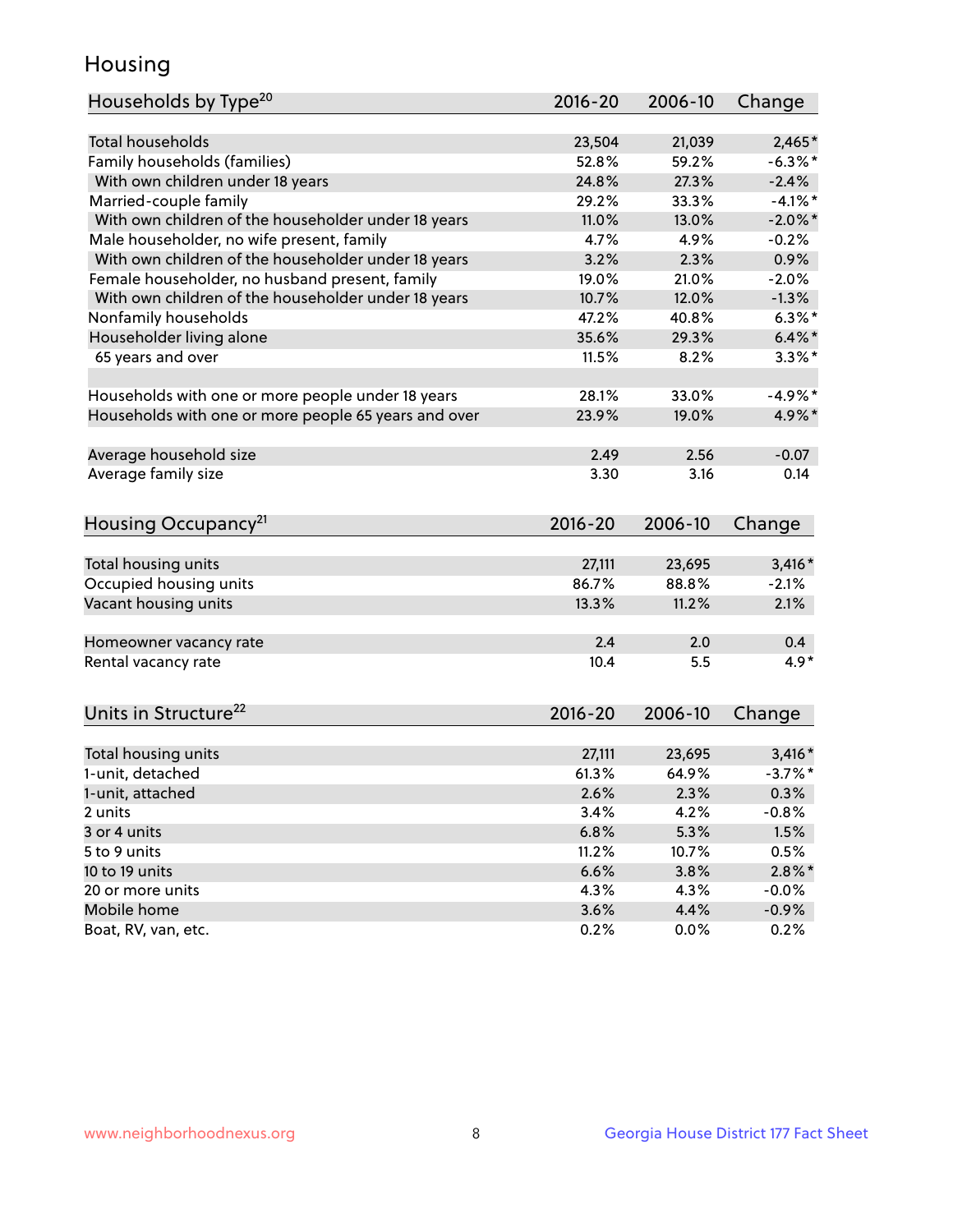## Housing

| Households by Type <sup>20</sup>                     | 2016-20     | 2006-10 | Change     |
|------------------------------------------------------|-------------|---------|------------|
|                                                      |             |         |            |
| <b>Total households</b>                              | 23,504      | 21,039  | $2,465*$   |
| Family households (families)                         | 52.8%       | 59.2%   | $-6.3\%$ * |
| With own children under 18 years                     | 24.8%       | 27.3%   | $-2.4%$    |
| Married-couple family                                | 29.2%       | 33.3%   | $-4.1%$ *  |
| With own children of the householder under 18 years  | 11.0%       | 13.0%   | $-2.0\%$ * |
| Male householder, no wife present, family            | 4.7%        | 4.9%    | $-0.2%$    |
| With own children of the householder under 18 years  | 3.2%        | 2.3%    | 0.9%       |
| Female householder, no husband present, family       | 19.0%       | 21.0%   | $-2.0%$    |
| With own children of the householder under 18 years  | 10.7%       | 12.0%   | $-1.3%$    |
| Nonfamily households                                 | 47.2%       | 40.8%   | $6.3\%$ *  |
| Householder living alone                             | 35.6%       | 29.3%   | $6.4\%$ *  |
| 65 years and over                                    | 11.5%       | 8.2%    | $3.3\%$ *  |
|                                                      |             |         |            |
| Households with one or more people under 18 years    | 28.1%       | 33.0%   | $-4.9%$ *  |
| Households with one or more people 65 years and over | 23.9%       | 19.0%   | 4.9%*      |
|                                                      |             |         |            |
| Average household size                               | 2.49        | 2.56    | $-0.07$    |
| Average family size                                  | 3.30        | 3.16    | 0.14       |
|                                                      |             |         |            |
| Housing Occupancy <sup>21</sup>                      | $2016 - 20$ | 2006-10 | Change     |
|                                                      |             |         |            |
| Total housing units                                  | 27,111      | 23,695  | $3,416*$   |
| Occupied housing units                               | 86.7%       | 88.8%   | $-2.1%$    |
| Vacant housing units                                 | 13.3%       | 11.2%   | 2.1%       |
|                                                      |             |         |            |
| Homeowner vacancy rate                               | 2.4         | 2.0     | 0.4        |
| Rental vacancy rate                                  | 10.4        | 5.5     | $4.9*$     |
|                                                      |             |         |            |
|                                                      |             |         |            |
| Units in Structure <sup>22</sup>                     | $2016 - 20$ | 2006-10 | Change     |
| Total housing units                                  | 27,111      | 23,695  | $3,416*$   |
| 1-unit, detached                                     | 61.3%       | 64.9%   | $-3.7%$ *  |
|                                                      | 2.6%        | 2.3%    | 0.3%       |
| 1-unit, attached<br>2 units                          | 3.4%        | 4.2%    | $-0.8%$    |
| 3 or 4 units                                         |             |         |            |
|                                                      | 6.8%        | 5.3%    | 1.5%       |
| 5 to 9 units                                         | 11.2%       | 10.7%   | 0.5%       |
| 10 to 19 units                                       | 6.6%        | 3.8%    | $2.8\%$ *  |
| 20 or more units<br>Mobile home                      | 4.3%        | 4.3%    | $-0.0\%$   |
|                                                      | 3.6%        | 4.4%    | $-0.9%$    |
| Boat, RV, van, etc.                                  | 0.2%        | 0.0%    | 0.2%       |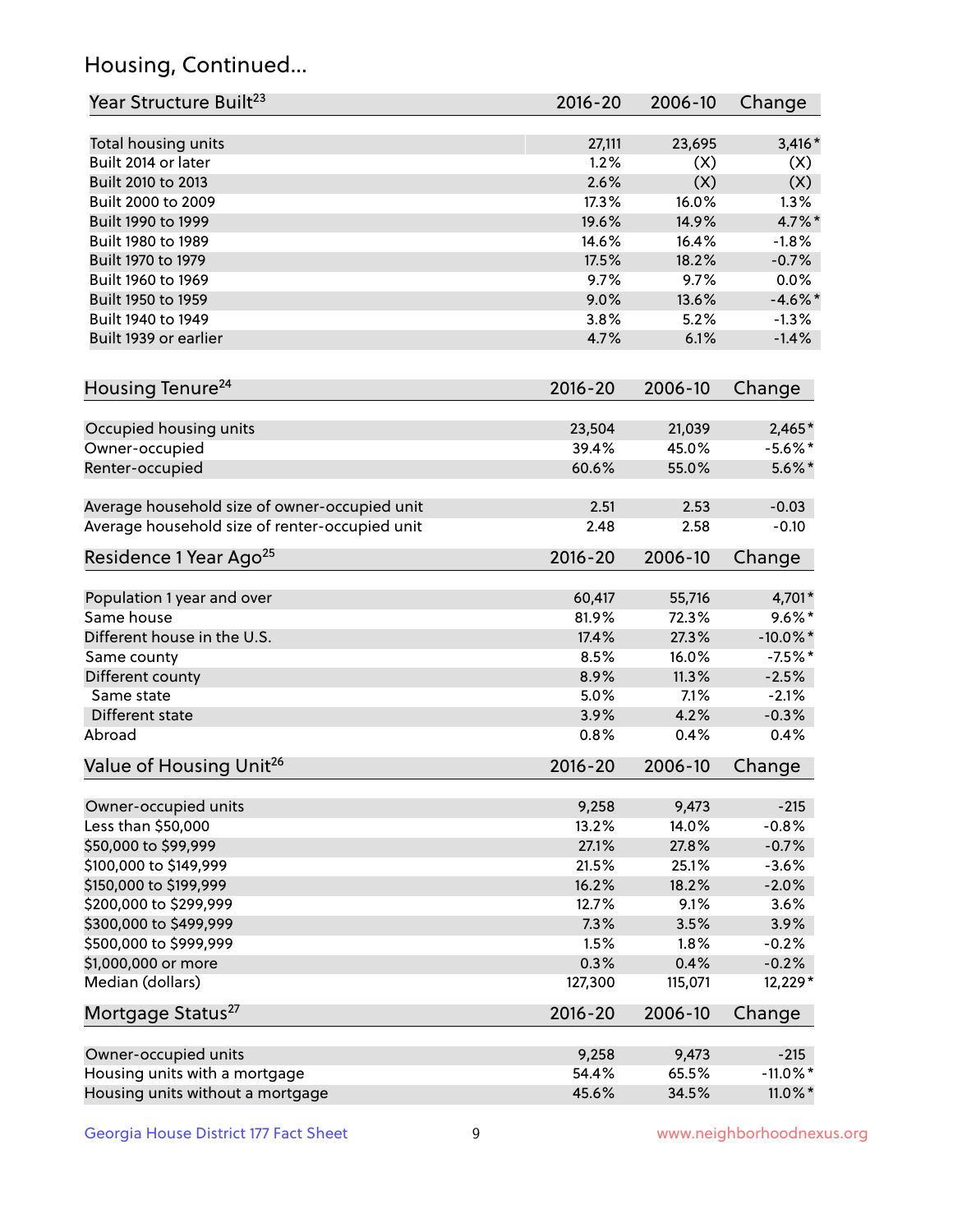## Housing, Continued...

| Year Structure Built <sup>23</sup>             | 2016-20       | 2006-10        | Change                   |
|------------------------------------------------|---------------|----------------|--------------------------|
| Total housing units                            | 27,111        | 23,695         | $3,416*$                 |
| Built 2014 or later                            | 1.2%          | (X)            | (X)                      |
| Built 2010 to 2013                             | 2.6%          | (X)            | (X)                      |
| Built 2000 to 2009                             | 17.3%         | 16.0%          | 1.3%                     |
| Built 1990 to 1999                             | 19.6%         | 14.9%          | 4.7%*                    |
| Built 1980 to 1989                             | 14.6%         | 16.4%          | $-1.8%$                  |
| Built 1970 to 1979                             | 17.5%         | 18.2%          | $-0.7%$                  |
| Built 1960 to 1969                             | 9.7%          | 9.7%           | 0.0%                     |
| Built 1950 to 1959                             | 9.0%          | 13.6%          | $-4.6\%$ *               |
| Built 1940 to 1949                             | 3.8%          | 5.2%           | $-1.3%$                  |
| Built 1939 or earlier                          | 4.7%          | 6.1%           | $-1.4%$                  |
| Housing Tenure <sup>24</sup>                   | $2016 - 20$   | 2006-10        | Change                   |
|                                                |               |                |                          |
| Occupied housing units                         | 23,504        | 21,039         | $2,465*$                 |
| Owner-occupied                                 | 39.4%         | 45.0%          | $-5.6\%$ *               |
| Renter-occupied                                | 60.6%         | 55.0%          | $5.6\%$ *                |
| Average household size of owner-occupied unit  | 2.51          | 2.53           | $-0.03$                  |
| Average household size of renter-occupied unit | 2.48          | 2.58           | $-0.10$                  |
| Residence 1 Year Ago <sup>25</sup>             | $2016 - 20$   | 2006-10        | Change                   |
|                                                |               |                |                          |
| Population 1 year and over<br>Same house       | 60,417        | 55,716         | 4,701*<br>$9.6\%*$       |
|                                                | 81.9%         | 72.3%<br>27.3% |                          |
| Different house in the U.S.                    | 17.4%<br>8.5% | 16.0%          | $-10.0\%$ *<br>$-7.5%$ * |
| Same county                                    |               |                |                          |
| Different county<br>Same state                 | 8.9%<br>5.0%  | 11.3%<br>7.1%  | $-2.5%$<br>$-2.1%$       |
| Different state                                | 3.9%          | 4.2%           |                          |
| Abroad                                         | 0.8%          | 0.4%           | $-0.3%$<br>0.4%          |
|                                                | $2016 - 20$   | 2006-10        |                          |
| Value of Housing Unit <sup>26</sup>            |               |                | Change                   |
| Owner-occupied units                           | 9,258         | 9,473          | $-215$                   |
| Less than \$50,000                             | 13.2%         | 14.0%          | $-0.8%$                  |
| \$50,000 to \$99,999                           | 27.1%         | 27.8%          | $-0.7%$                  |
| \$100,000 to \$149,999                         | 21.5%         | 25.1%          | $-3.6%$                  |
| \$150,000 to \$199,999                         | 16.2%         | 18.2%          | $-2.0%$                  |
| \$200,000 to \$299,999                         | 12.7%         | 9.1%           | 3.6%                     |
| \$300,000 to \$499,999                         | 7.3%          | 3.5%           | 3.9%                     |
| \$500,000 to \$999,999                         | 1.5%          | 1.8%           | $-0.2%$                  |
| \$1,000,000 or more                            | 0.3%          | 0.4%           | $-0.2%$                  |
| Median (dollars)                               | 127,300       | 115,071        | 12,229*                  |
| Mortgage Status <sup>27</sup>                  | $2016 - 20$   | 2006-10        | Change                   |
|                                                |               |                |                          |
| Owner-occupied units                           | 9,258         | 9,473          | $-215$                   |
| Housing units with a mortgage                  | 54.4%         | 65.5%          | $-11.0\%$ *              |
| Housing units without a mortgage               | 45.6%         | 34.5%          | 11.0%*                   |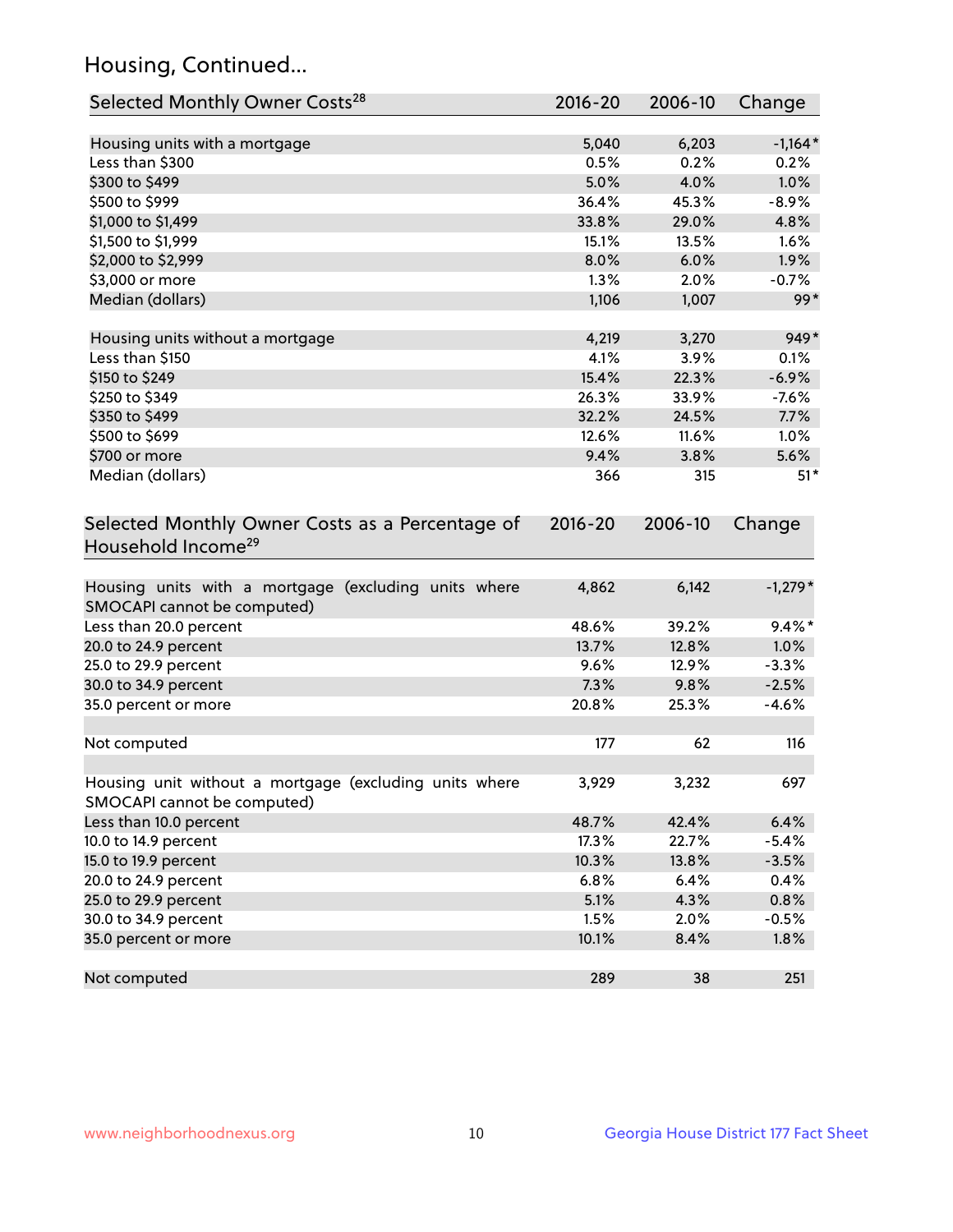## Housing, Continued...

| Selected Monthly Owner Costs <sup>28</sup>                                            | 2016-20     | 2006-10 | Change    |
|---------------------------------------------------------------------------------------|-------------|---------|-----------|
| Housing units with a mortgage                                                         | 5,040       | 6,203   | $-1,164*$ |
| Less than \$300                                                                       | 0.5%        | 0.2%    | 0.2%      |
| \$300 to \$499                                                                        | 5.0%        | 4.0%    | 1.0%      |
| \$500 to \$999                                                                        | 36.4%       | 45.3%   | $-8.9%$   |
| \$1,000 to \$1,499                                                                    | 33.8%       | 29.0%   | 4.8%      |
| \$1,500 to \$1,999                                                                    | 15.1%       | 13.5%   | 1.6%      |
| \$2,000 to \$2,999                                                                    | 8.0%        | 6.0%    | 1.9%      |
| \$3,000 or more                                                                       | 1.3%        | 2.0%    | $-0.7%$   |
| Median (dollars)                                                                      | 1,106       | 1,007   | $99*$     |
| Housing units without a mortgage                                                      | 4,219       | 3,270   | 949*      |
| Less than \$150                                                                       | 4.1%        | 3.9%    | 0.1%      |
| \$150 to \$249                                                                        | 15.4%       | 22.3%   | $-6.9%$   |
| \$250 to \$349                                                                        | 26.3%       | 33.9%   | $-7.6%$   |
| \$350 to \$499                                                                        | 32.2%       | 24.5%   | 7.7%      |
| \$500 to \$699                                                                        | 12.6%       | 11.6%   | 1.0%      |
| \$700 or more                                                                         | 9.4%        | 3.8%    | 5.6%      |
| Median (dollars)                                                                      | 366         | 315     | $51*$     |
| Selected Monthly Owner Costs as a Percentage of<br>Household Income <sup>29</sup>     | $2016 - 20$ | 2006-10 | Change    |
| Housing units with a mortgage (excluding units where<br>SMOCAPI cannot be computed)   | 4,862       | 6,142   | $-1,279*$ |
| Less than 20.0 percent                                                                | 48.6%       | 39.2%   | $9.4\%$ * |
| 20.0 to 24.9 percent                                                                  | 13.7%       | 12.8%   | 1.0%      |
| 25.0 to 29.9 percent                                                                  | 9.6%        | 12.9%   | $-3.3%$   |
| 30.0 to 34.9 percent                                                                  | 7.3%        | 9.8%    | $-2.5%$   |
| 35.0 percent or more                                                                  | 20.8%       | 25.3%   | $-4.6%$   |
| Not computed                                                                          | 177         | 62      | 116       |
| Housing unit without a mortgage (excluding units where<br>SMOCAPI cannot be computed) | 3,929       | 3,232   | 697       |
| Less than 10.0 percent                                                                | 48.7%       | 42.4%   | 6.4%      |
| 10.0 to 14.9 percent                                                                  | 17.3%       | 22.7%   | $-5.4%$   |
| 15.0 to 19.9 percent                                                                  | 10.3%       | 13.8%   | $-3.5%$   |
| 20.0 to 24.9 percent                                                                  | 6.8%        | 6.4%    | 0.4%      |
| 25.0 to 29.9 percent                                                                  | 5.1%        | 4.3%    | 0.8%      |
| 30.0 to 34.9 percent                                                                  | 1.5%        | 2.0%    | $-0.5%$   |
| 35.0 percent or more                                                                  | 10.1%       | 8.4%    | 1.8%      |
| Not computed                                                                          | 289         | 38      | 251       |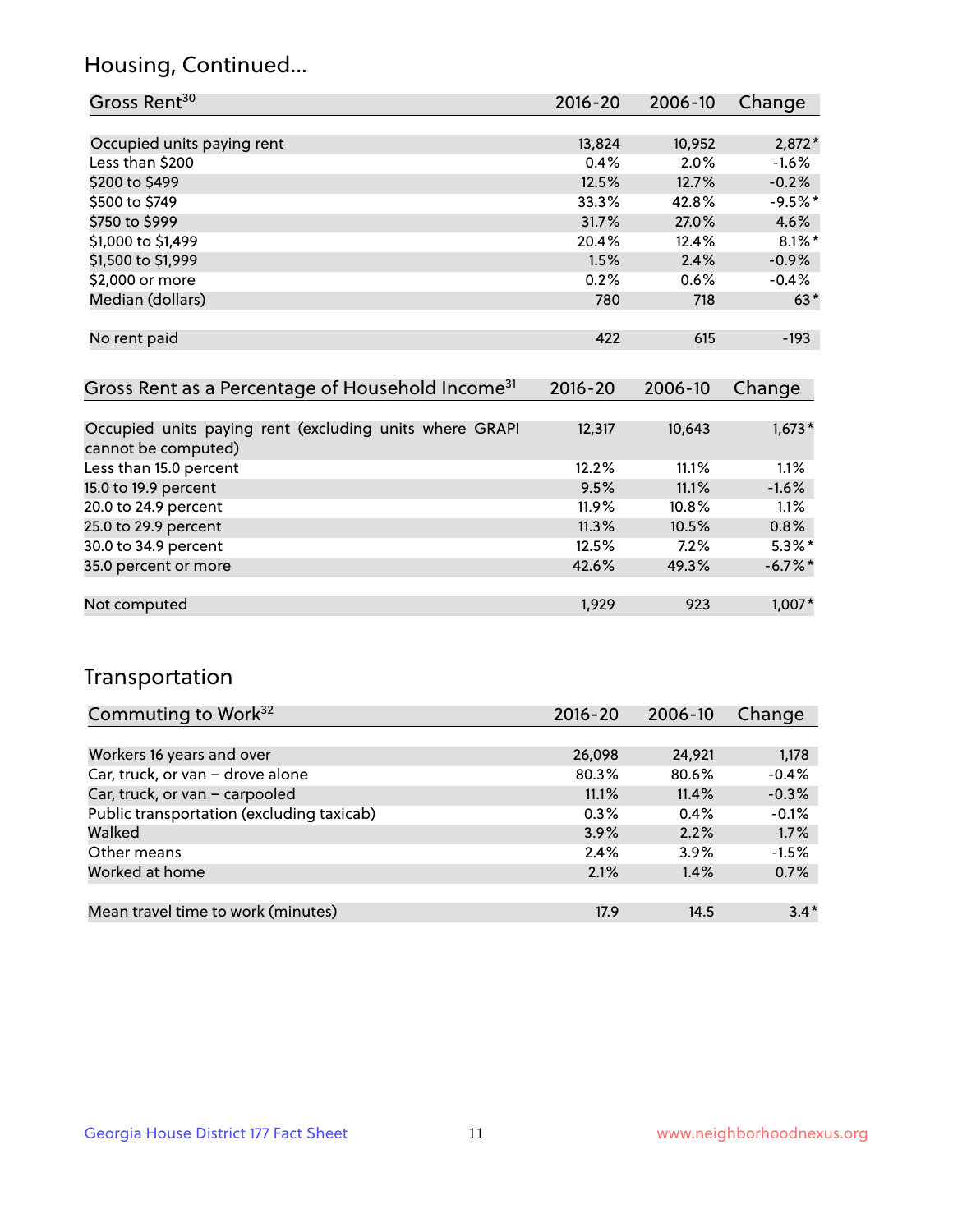## Housing, Continued...

| Gross Rent <sup>30</sup>   | 2016-20 | 2006-10 | Change    |
|----------------------------|---------|---------|-----------|
|                            |         |         |           |
| Occupied units paying rent | 13,824  | 10,952  | $2,872*$  |
| Less than \$200            | 0.4%    | 2.0%    | $-1.6%$   |
| \$200 to \$499             | 12.5%   | 12.7%   | $-0.2%$   |
| \$500 to \$749             | 33.3%   | 42.8%   | $-9.5%$ * |
| \$750 to \$999             | 31.7%   | 27.0%   | 4.6%      |
| \$1,000 to \$1,499         | 20.4%   | 12.4%   | $8.1\%$ * |
| \$1,500 to \$1,999         | 1.5%    | 2.4%    | $-0.9%$   |
| \$2,000 or more            | 0.2%    | 0.6%    | $-0.4%$   |
| Median (dollars)           | 780     | 718     | $63*$     |
|                            |         |         |           |
| No rent paid               | 422     | 615     | $-193$    |
|                            |         |         |           |

| Gross Rent as a Percentage of Household Income <sup>31</sup>                   | $2016 - 20$ | 2006-10 | Change     |
|--------------------------------------------------------------------------------|-------------|---------|------------|
|                                                                                |             |         |            |
| Occupied units paying rent (excluding units where GRAPI<br>cannot be computed) | 12,317      | 10,643  | $1,673*$   |
| Less than 15.0 percent                                                         | 12.2%       | 11.1%   | 1.1%       |
| 15.0 to 19.9 percent                                                           | 9.5%        | 11.1%   | $-1.6%$    |
| 20.0 to 24.9 percent                                                           | $11.9\%$    | 10.8%   | 1.1%       |
| 25.0 to 29.9 percent                                                           | 11.3%       | 10.5%   | 0.8%       |
| 30.0 to 34.9 percent                                                           | 12.5%       | 7.2%    | $5.3\%$ *  |
| 35.0 percent or more                                                           | 42.6%       | 49.3%   | $-6.7\%$ * |
|                                                                                |             |         |            |
| Not computed                                                                   | 1.929       | 923     | 1,007*     |

## Transportation

| Commuting to Work <sup>32</sup>           | $2016 - 20$ | 2006-10 | Change  |
|-------------------------------------------|-------------|---------|---------|
|                                           |             |         |         |
| Workers 16 years and over                 | 26,098      | 24,921  | 1,178   |
| Car, truck, or van - drove alone          | 80.3%       | 80.6%   | $-0.4%$ |
| Car, truck, or van - carpooled            | 11.1%       | 11.4%   | $-0.3%$ |
| Public transportation (excluding taxicab) | 0.3%        | 0.4%    | $-0.1%$ |
| Walked                                    | 3.9%        | 2.2%    | 1.7%    |
| Other means                               | 2.4%        | 3.9%    | $-1.5%$ |
| Worked at home                            | 2.1%        | 1.4%    | 0.7%    |
|                                           |             |         |         |
| Mean travel time to work (minutes)        | 17.9        | 14.5    | $3.4*$  |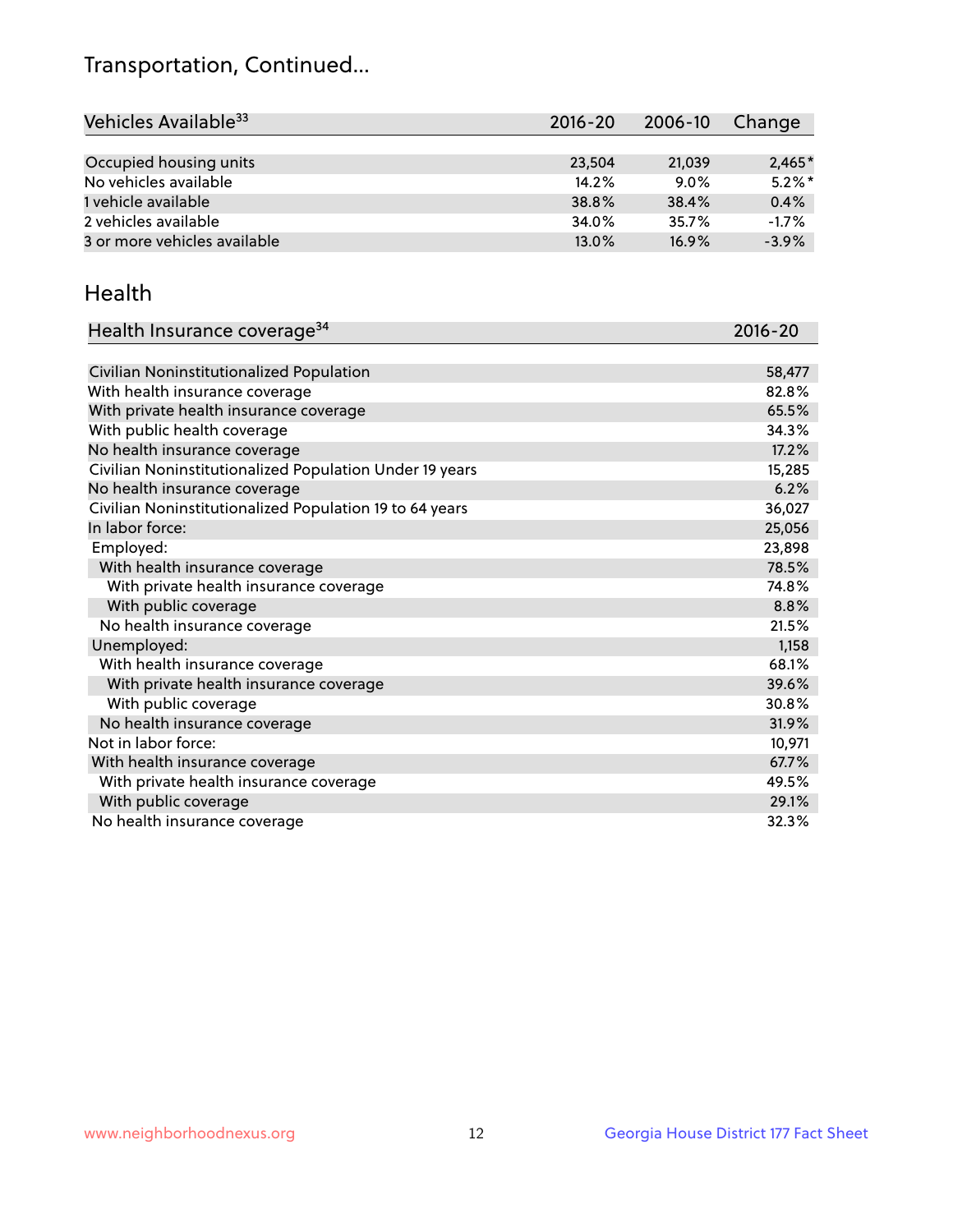## Transportation, Continued...

| Vehicles Available <sup>33</sup> | 2016-20 | 2006-10 | Change    |
|----------------------------------|---------|---------|-----------|
|                                  |         |         |           |
| Occupied housing units           | 23,504  | 21.039  | $2,465*$  |
| No vehicles available            | 14.2%   | $9.0\%$ | $5.2\%$ * |
| 1 vehicle available              | 38.8%   | 38.4%   | 0.4%      |
| 2 vehicles available             | 34.0%   | 35.7%   | $-1.7%$   |
| 3 or more vehicles available     | 13.0%   | 16.9%   | $-3.9%$   |

#### Health

| Health Insurance coverage <sup>34</sup>                 | 2016-20 |
|---------------------------------------------------------|---------|
|                                                         |         |
| Civilian Noninstitutionalized Population                | 58,477  |
| With health insurance coverage                          | 82.8%   |
| With private health insurance coverage                  | 65.5%   |
| With public health coverage                             | 34.3%   |
| No health insurance coverage                            | 17.2%   |
| Civilian Noninstitutionalized Population Under 19 years | 15,285  |
| No health insurance coverage                            | 6.2%    |
| Civilian Noninstitutionalized Population 19 to 64 years | 36,027  |
| In labor force:                                         | 25,056  |
| Employed:                                               | 23,898  |
| With health insurance coverage                          | 78.5%   |
| With private health insurance coverage                  | 74.8%   |
| With public coverage                                    | 8.8%    |
| No health insurance coverage                            | 21.5%   |
| Unemployed:                                             | 1,158   |
| With health insurance coverage                          | 68.1%   |
| With private health insurance coverage                  | 39.6%   |
| With public coverage                                    | 30.8%   |
| No health insurance coverage                            | 31.9%   |
| Not in labor force:                                     | 10,971  |
| With health insurance coverage                          | 67.7%   |
| With private health insurance coverage                  | 49.5%   |
| With public coverage                                    | 29.1%   |
| No health insurance coverage                            | 32.3%   |